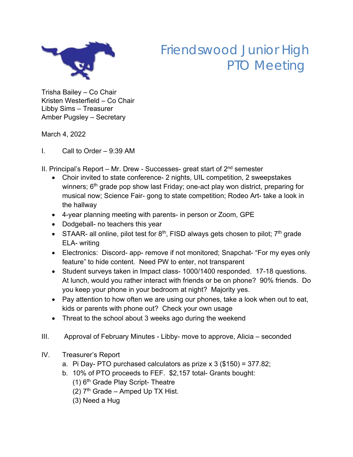

## Friendswood Junior High PTO Meeting

Trisha Bailey – Co Chair Kristen Westerfield – Co Chair Libby Sims – Treasurer Amber Pugsley – Secretary

March 4, 2022

I. Call to Order – 9:39 AM

II. Principal's Report – Mr. Drew - Successes- great start of  $2<sup>nd</sup>$  semester

- Choir invited to state conference- 2 nights, UIL competition, 2 sweepstakes winners; 6<sup>th</sup> grade pop show last Friday; one-act play won district, preparing for musical now; Science Fair- gong to state competition; Rodeo Art- take a look in the hallway
- 4-year planning meeting with parents- in person or Zoom, GPE
- Dodgeball- no teachers this year
- STAAR- all online, pilot test for  $8<sup>th</sup>$ , FISD always gets chosen to pilot;  $7<sup>th</sup>$  grade ELA- writing
- Electronics: Discord- app- remove if not monitored; Snapchat- "For my eyes only feature" to hide content. Need PW to enter, not transparent
- Student surveys taken in Impact class- 1000/1400 responded. 17-18 questions. At lunch, would you rather interact with friends or be on phone? 90% friends. Do you keep your phone in your bedroom at night? Majority yes.
- Pay attention to how often we are using our phones, take a look when out to eat, kids or parents with phone out? Check your own usage
- Threat to the school about 3 weeks ago during the weekend
- III. Approval of February Minutes Libby- move to approve, Alicia seconded
- IV. Treasurer's Report
	- a. Pi Day- PTO purchased calculators as prize  $x$  3 (\$150) = 377.82;
	- b. 10% of PTO proceeds to FEF. \$2,157 total- Grants bought:
		- (1) 6th Grade Play Script- Theatre
		- (2)  $7<sup>th</sup>$  Grade Amped Up TX Hist.
		- (3) Need a Hug